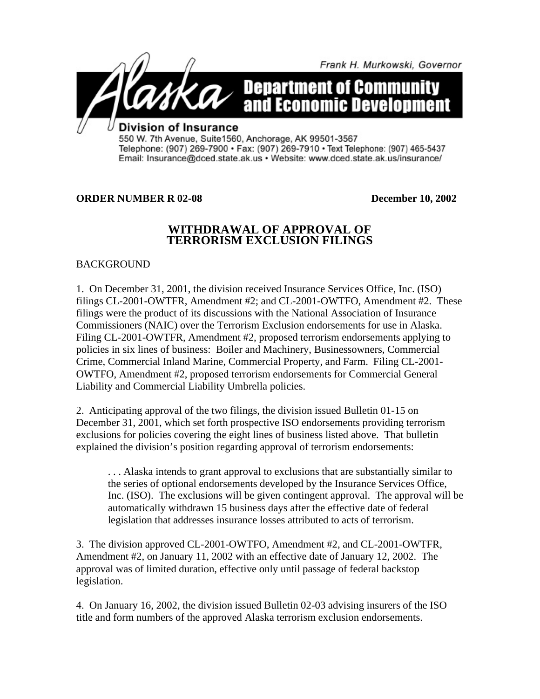

Telephone: (907) 269-7900 · Fax: (907) 269-7910 · Text Telephone: (907) 465-5437 Email: Insurance@dced.state.ak.us · Website: www.dced.state.ak.us/insurance/

## **ORDER NUMBER R 02-08 December 10, 2002**

## **WITHDRAWAL OF APPROVAL OF TERRORISM EXCLUSION FILINGS**

**BACKGROUND** 

1. On December 31, 2001, the division received Insurance Services Office, Inc. (ISO) filings CL-2001-OWTFR, Amendment #2; and CL-2001-OWTFO, Amendment #2. These filings were the product of its discussions with the National Association of Insurance Commissioners (NAIC) over the Terrorism Exclusion endorsements for use in Alaska. Filing CL-2001-OWTFR, Amendment #2, proposed terrorism endorsements applying to policies in six lines of business: Boiler and Machinery, Businessowners, Commercial Crime, Commercial Inland Marine, Commercial Property, and Farm. Filing CL-2001- OWTFO, Amendment #2, proposed terrorism endorsements for Commercial General Liability and Commercial Liability Umbrella policies.

2. Anticipating approval of the two filings, the division issued Bulletin 01-15 on December 31, 2001, which set forth prospective ISO endorsements providing terrorism exclusions for policies covering the eight lines of business listed above. That bulletin explained the division's position regarding approval of terrorism endorsements:

. . . Alaska intends to grant approval to exclusions that are substantially similar to the series of optional endorsements developed by the Insurance Services Office, Inc. (ISO). The exclusions will be given contingent approval. The approval will be automatically withdrawn 15 business days after the effective date of federal legislation that addresses insurance losses attributed to acts of terrorism.

3. The division approved CL-2001-OWTFO, Amendment #2, and CL-2001-OWTFR, Amendment #2, on January 11, 2002 with an effective date of January 12, 2002. The approval was of limited duration, effective only until passage of federal backstop legislation.

4. On January 16, 2002, the division issued Bulletin 02-03 advising insurers of the ISO title and form numbers of the approved Alaska terrorism exclusion endorsements.